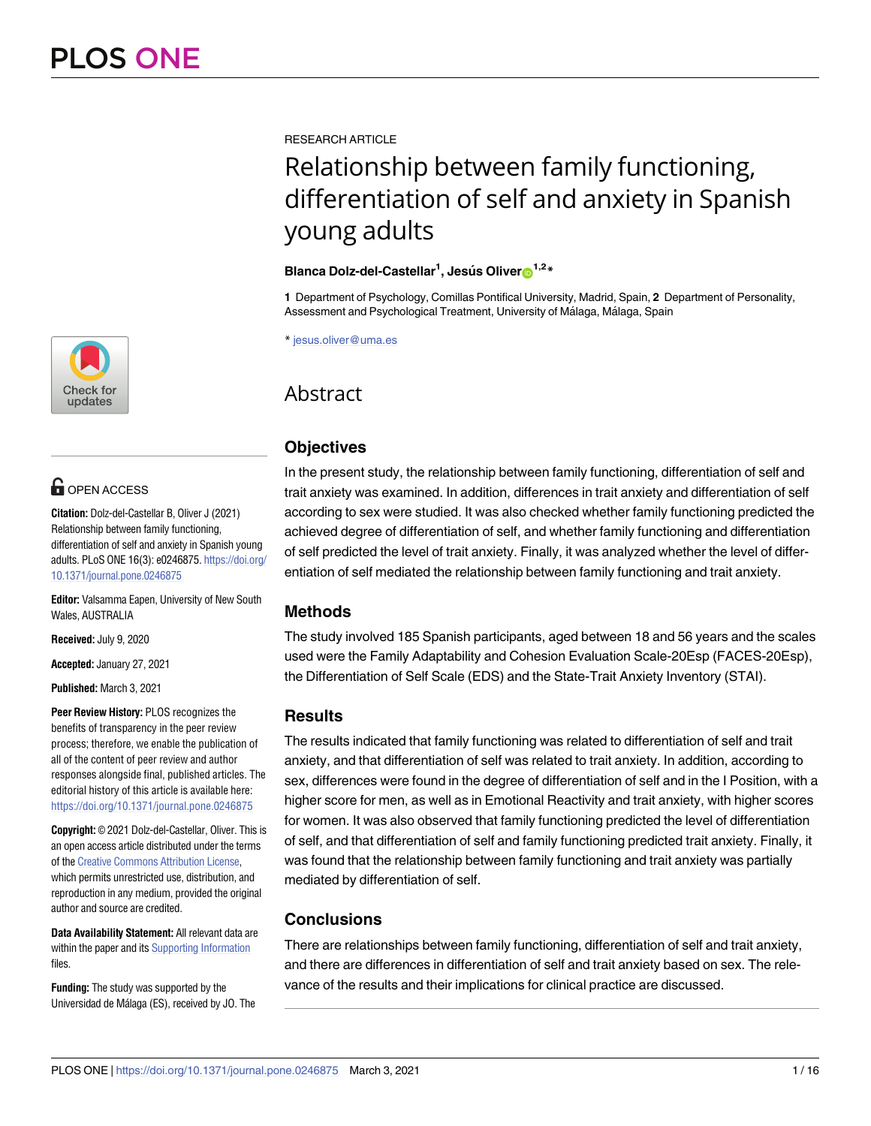

# **O** OPEN ACCESS

**Citation:** Dolz-del-Castellar B, Oliver J (2021) Relationship between family functioning, differentiation of self and anxiety in Spanish young adults. PLoS ONE 16(3): e0246875. [https://doi.org/](https://doi.org/10.1371/journal.pone.0246875) [10.1371/journal.pone.0246875](https://doi.org/10.1371/journal.pone.0246875)

**Editor:** Valsamma Eapen, University of New South Wales, AUSTRALIA

**Received:** July 9, 2020

**Accepted:** January 27, 2021

**Published:** March 3, 2021

**Peer Review History:** PLOS recognizes the benefits of transparency in the peer review process; therefore, we enable the publication of all of the content of peer review and author responses alongside final, published articles. The editorial history of this article is available here: <https://doi.org/10.1371/journal.pone.0246875>

**Copyright:** © 2021 Dolz-del-Castellar, Oliver. This is an open access article distributed under the terms of the Creative [Commons](http://creativecommons.org/licenses/by/4.0/) Attribution License, which permits unrestricted use, distribution, and reproduction in any medium, provided the original author and source are credited.

**Data Availability Statement:** All relevant data are within the paper and its Supporting [Information](#page-12-0) files.

**Funding:** The study was supported by the Universidad de Málaga (ES), received by JO. The RESEARCH ARTICLE

# Relationship between family functioning, differentiation of self and anxiety in Spanish young adults

# **Blanca Dolz-del-Castellar1 , Jesu´s Oliver[ID1](https://orcid.org/0000-0001-7659-0690),2\***

**1** Department of Psychology, Comillas Pontifical University, Madrid, Spain, **2** Department of Personality, Assessment and Psychological Treatment, University of Málaga, Málaga, Spain

\* jesus.oliver@uma.es

# Abstract

# **Objectives**

In the present study, the relationship between family functioning, differentiation of self and trait anxiety was examined. In addition, differences in trait anxiety and differentiation of self according to sex were studied. It was also checked whether family functioning predicted the achieved degree of differentiation of self, and whether family functioning and differentiation of self predicted the level of trait anxiety. Finally, it was analyzed whether the level of differentiation of self mediated the relationship between family functioning and trait anxiety.

# **Methods**

The study involved 185 Spanish participants, aged between 18 and 56 years and the scales used were the Family Adaptability and Cohesion Evaluation Scale-20Esp (FACES-20Esp), the Differentiation of Self Scale (EDS) and the State-Trait Anxiety Inventory (STAI).

# **Results**

The results indicated that family functioning was related to differentiation of self and trait anxiety, and that differentiation of self was related to trait anxiety. In addition, according to sex, differences were found in the degree of differentiation of self and in the I Position, with a higher score for men, as well as in Emotional Reactivity and trait anxiety, with higher scores for women. It was also observed that family functioning predicted the level of differentiation of self, and that differentiation of self and family functioning predicted trait anxiety. Finally, it was found that the relationship between family functioning and trait anxiety was partially mediated by differentiation of self.

# **Conclusions**

There are relationships between family functioning, differentiation of self and trait anxiety, and there are differences in differentiation of self and trait anxiety based on sex. The relevance of the results and their implications for clinical practice are discussed.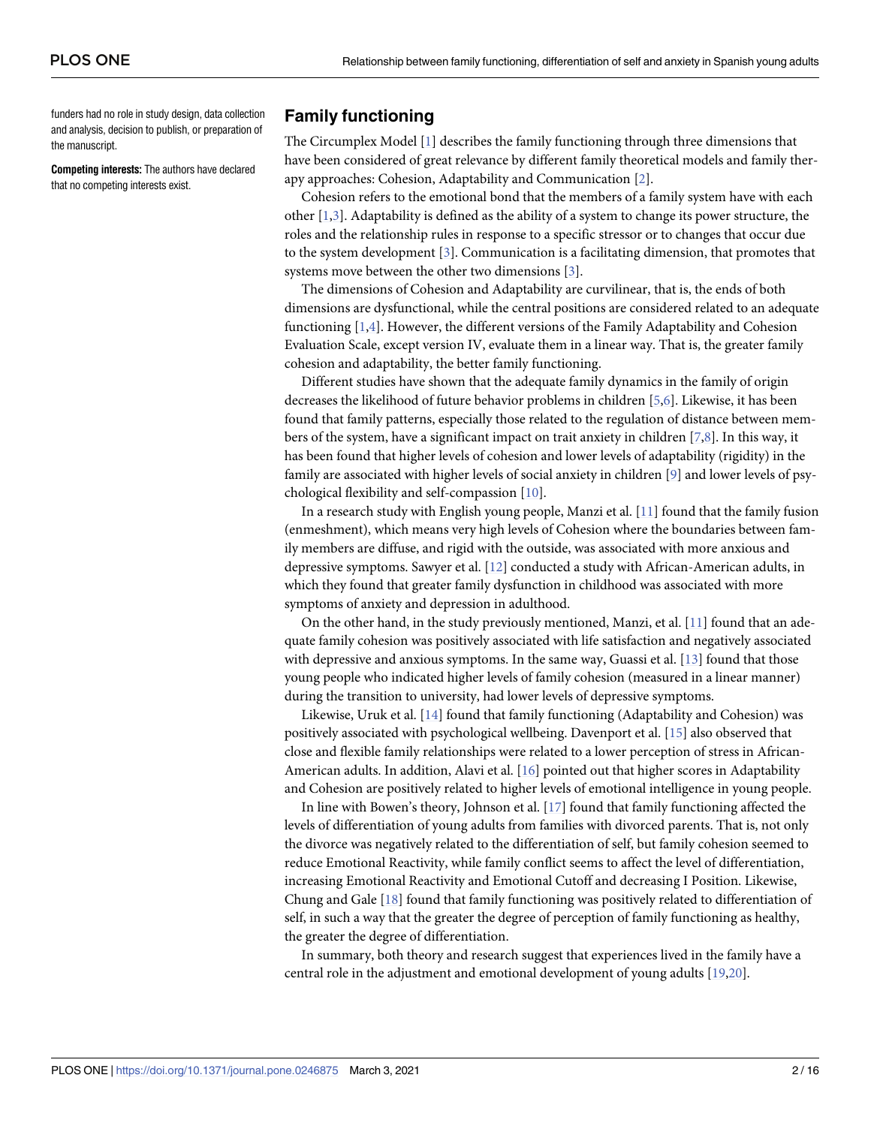<span id="page-1-0"></span>funders had no role in study design, data collection and analysis, decision to publish, or preparation of the manuscript.

**Competing interests:** The authors have declared that no competing interests exist.

# **Family functioning**

The Circumplex Model [[1\]](#page-12-0) describes the family functioning through three dimensions that have been considered of great relevance by different family theoretical models and family therapy approaches: Cohesion, Adaptability and Communication [\[2\]](#page-12-0).

Cohesion refers to the emotional bond that the members of a family system have with each other [[1,3\]](#page-12-0). Adaptability is defined as the ability of a system to change its power structure, the roles and the relationship rules in response to a specific stressor or to changes that occur due to the system development [[3\]](#page-12-0). Communication is a facilitating dimension, that promotes that systems move between the other two dimensions [[3](#page-12-0)].

The dimensions of Cohesion and Adaptability are curvilinear, that is, the ends of both dimensions are dysfunctional, while the central positions are considered related to an adequate functioning [[1,4](#page-12-0)]. However, the different versions of the Family Adaptability and Cohesion Evaluation Scale, except version IV, evaluate them in a linear way. That is, the greater family cohesion and adaptability, the better family functioning.

Different studies have shown that the adequate family dynamics in the family of origin decreases the likelihood of future behavior problems in children [[5](#page-12-0),[6](#page-13-0)]. Likewise, it has been found that family patterns, especially those related to the regulation of distance between members of the system, have a significant impact on trait anxiety in children [\[7,8\]](#page-13-0). In this way, it has been found that higher levels of cohesion and lower levels of adaptability (rigidity) in the family are associated with higher levels of social anxiety in children [\[9](#page-13-0)] and lower levels of psychological flexibility and self-compassion [\[10\]](#page-13-0).

In a research study with English young people, Manzi et al. [\[11\]](#page-13-0) found that the family fusion (enmeshment), which means very high levels of Cohesion where the boundaries between family members are diffuse, and rigid with the outside, was associated with more anxious and depressive symptoms. Sawyer et al. [\[12\]](#page-13-0) conducted a study with African-American adults, in which they found that greater family dysfunction in childhood was associated with more symptoms of anxiety and depression in adulthood.

On the other hand, in the study previously mentioned, Manzi, et al. [[11](#page-13-0)] found that an adequate family cohesion was positively associated with life satisfaction and negatively associated with depressive and anxious symptoms. In the same way, Guassi et al. [\[13\]](#page-13-0) found that those young people who indicated higher levels of family cohesion (measured in a linear manner) during the transition to university, had lower levels of depressive symptoms.

Likewise, Uruk et al. [[14](#page-13-0)] found that family functioning (Adaptability and Cohesion) was positively associated with psychological wellbeing. Davenport et al. [\[15\]](#page-13-0) also observed that close and flexible family relationships were related to a lower perception of stress in African-American adults. In addition, Alavi et al. [[16](#page-13-0)] pointed out that higher scores in Adaptability and Cohesion are positively related to higher levels of emotional intelligence in young people.

In line with Bowen's theory, Johnson et al. [\[17\]](#page-13-0) found that family functioning affected the levels of differentiation of young adults from families with divorced parents. That is, not only the divorce was negatively related to the differentiation of self, but family cohesion seemed to reduce Emotional Reactivity, while family conflict seems to affect the level of differentiation, increasing Emotional Reactivity and Emotional Cutoff and decreasing I Position. Likewise, Chung and Gale [[18](#page-13-0)] found that family functioning was positively related to differentiation of self, in such a way that the greater the degree of perception of family functioning as healthy, the greater the degree of differentiation.

In summary, both theory and research suggest that experiences lived in the family have a central role in the adjustment and emotional development of young adults [[19,20\]](#page-13-0).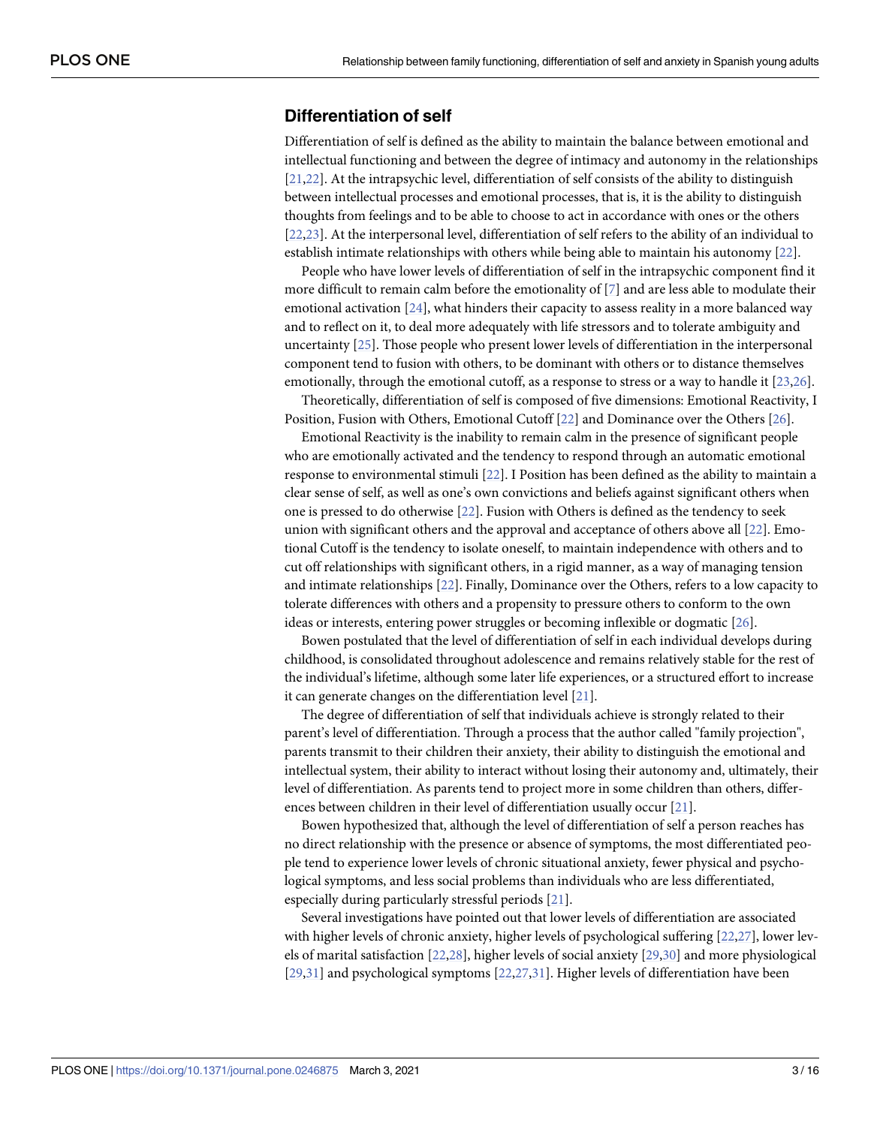# <span id="page-2-0"></span>**Differentiation of self**

Differentiation of self is defined as the ability to maintain the balance between emotional and intellectual functioning and between the degree of intimacy and autonomy in the relationships [\[21,22\]](#page-13-0). At the intrapsychic level, differentiation of self consists of the ability to distinguish between intellectual processes and emotional processes, that is, it is the ability to distinguish thoughts from feelings and to be able to choose to act in accordance with ones or the others [\[22,23\]](#page-13-0). At the interpersonal level, differentiation of self refers to the ability of an individual to establish intimate relationships with others while being able to maintain his autonomy [\[22\]](#page-13-0).

People who have lower levels of differentiation of self in the intrapsychic component find it more difficult to remain calm before the emotionality of [\[7\]](#page-13-0) and are less able to modulate their emotional activation [[24](#page-13-0)], what hinders their capacity to assess reality in a more balanced way and to reflect on it, to deal more adequately with life stressors and to tolerate ambiguity and uncertainty [[25](#page-13-0)]. Those people who present lower levels of differentiation in the interpersonal component tend to fusion with others, to be dominant with others or to distance themselves emotionally, through the emotional cutoff, as a response to stress or a way to handle it [\[23,26](#page-13-0)].

Theoretically, differentiation of self is composed of five dimensions: Emotional Reactivity, I Position, Fusion with Others, Emotional Cutoff [\[22\]](#page-13-0) and Dominance over the Others [\[26\]](#page-13-0).

Emotional Reactivity is the inability to remain calm in the presence of significant people who are emotionally activated and the tendency to respond through an automatic emotional response to environmental stimuli [\[22\]](#page-13-0). I Position has been defined as the ability to maintain a clear sense of self, as well as one's own convictions and beliefs against significant others when one is pressed to do otherwise [[22](#page-13-0)]. Fusion with Others is defined as the tendency to seek union with significant others and the approval and acceptance of others above all [[22](#page-13-0)]. Emotional Cutoff is the tendency to isolate oneself, to maintain independence with others and to cut off relationships with significant others, in a rigid manner, as a way of managing tension and intimate relationships [\[22](#page-13-0)]. Finally, Dominance over the Others, refers to a low capacity to tolerate differences with others and a propensity to pressure others to conform to the own ideas or interests, entering power struggles or becoming inflexible or dogmatic [\[26\]](#page-13-0).

Bowen postulated that the level of differentiation of self in each individual develops during childhood, is consolidated throughout adolescence and remains relatively stable for the rest of the individual's lifetime, although some later life experiences, or a structured effort to increase it can generate changes on the differentiation level [\[21\]](#page-13-0).

The degree of differentiation of self that individuals achieve is strongly related to their parent's level of differentiation. Through a process that the author called "family projection", parents transmit to their children their anxiety, their ability to distinguish the emotional and intellectual system, their ability to interact without losing their autonomy and, ultimately, their level of differentiation. As parents tend to project more in some children than others, differences between children in their level of differentiation usually occur [[21](#page-13-0)].

Bowen hypothesized that, although the level of differentiation of self a person reaches has no direct relationship with the presence or absence of symptoms, the most differentiated people tend to experience lower levels of chronic situational anxiety, fewer physical and psychological symptoms, and less social problems than individuals who are less differentiated, especially during particularly stressful periods [\[21\]](#page-13-0).

Several investigations have pointed out that lower levels of differentiation are associated with higher levels of chronic anxiety, higher levels of psychological suffering [\[22,27](#page-13-0)], lower levels of marital satisfaction [\[22,28](#page-13-0)], higher levels of social anxiety [\[29,30](#page-14-0)] and more physiological [\[29,31\]](#page-14-0) and psychological symptoms [[22,27,](#page-13-0)[31\]](#page-14-0). Higher levels of differentiation have been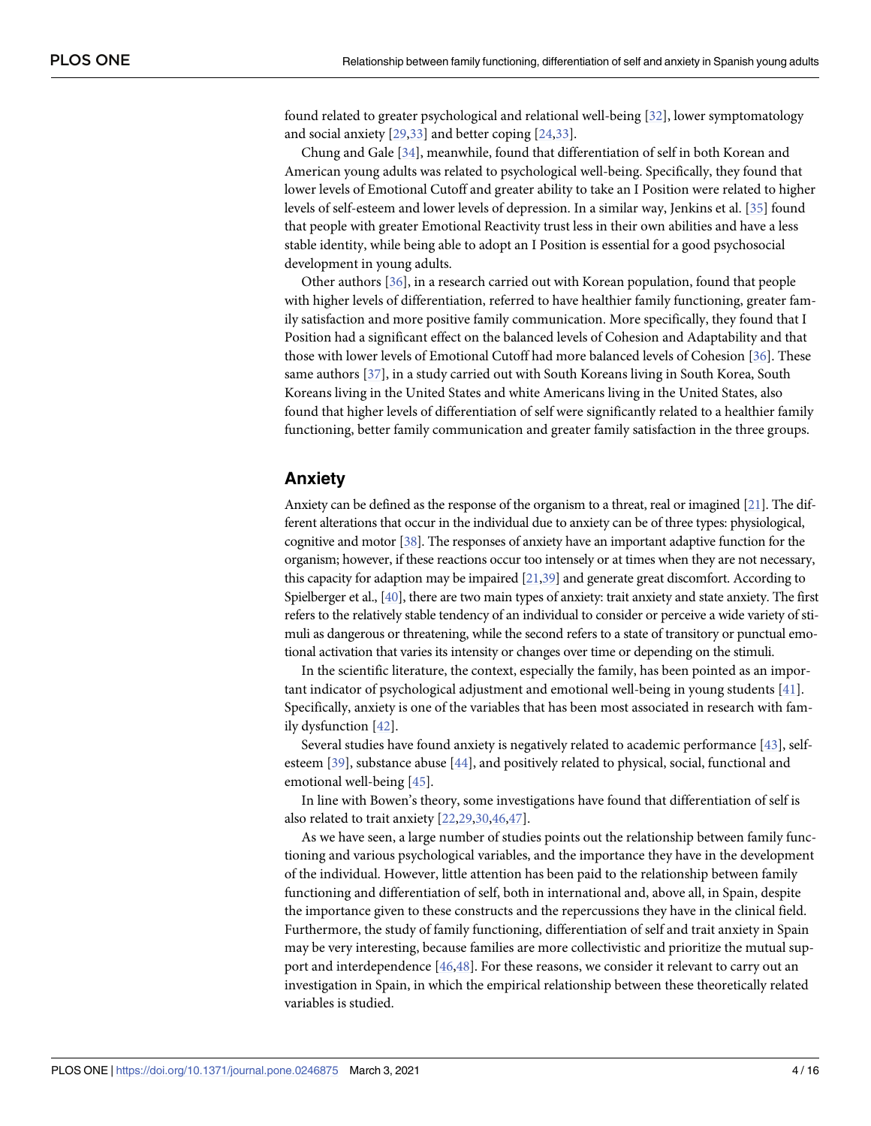<span id="page-3-0"></span>found related to greater psychological and relational well-being [\[32\]](#page-14-0), lower symptomatology and social anxiety [\[29,33\]](#page-14-0) and better coping [[24](#page-13-0),[33](#page-14-0)].

Chung and Gale [[34](#page-14-0)], meanwhile, found that differentiation of self in both Korean and American young adults was related to psychological well-being. Specifically, they found that lower levels of Emotional Cutoff and greater ability to take an I Position were related to higher levels of self-esteem and lower levels of depression. In a similar way, Jenkins et al. [\[35\]](#page-14-0) found that people with greater Emotional Reactivity trust less in their own abilities and have a less stable identity, while being able to adopt an I Position is essential for a good psychosocial development in young adults.

Other authors [[36](#page-14-0)], in a research carried out with Korean population, found that people with higher levels of differentiation, referred to have healthier family functioning, greater family satisfaction and more positive family communication. More specifically, they found that I Position had a significant effect on the balanced levels of Cohesion and Adaptability and that those with lower levels of Emotional Cutoff had more balanced levels of Cohesion [[36](#page-14-0)]. These same authors [\[37\]](#page-14-0), in a study carried out with South Koreans living in South Korea, South Koreans living in the United States and white Americans living in the United States, also found that higher levels of differentiation of self were significantly related to a healthier family functioning, better family communication and greater family satisfaction in the three groups.

## **Anxiety**

Anxiety can be defined as the response of the organism to a threat, real or imagined [\[21](#page-13-0)]. The different alterations that occur in the individual due to anxiety can be of three types: physiological, cognitive and motor [\[38](#page-14-0)]. The responses of anxiety have an important adaptive function for the organism; however, if these reactions occur too intensely or at times when they are not necessary, this capacity for adaption may be impaired [\[21](#page-13-0)[,39\]](#page-14-0) and generate great discomfort. According to Spielberger et al., [[40\]](#page-14-0), there are two main types of anxiety: trait anxiety and state anxiety. The first refers to the relatively stable tendency of an individual to consider or perceive a wide variety of stimuli as dangerous or threatening, while the second refers to a state of transitory or punctual emotional activation that varies its intensity or changes over time or depending on the stimuli.

In the scientific literature, the context, especially the family, has been pointed as an important indicator of psychological adjustment and emotional well-being in young students [\[41\]](#page-14-0). Specifically, anxiety is one of the variables that has been most associated in research with family dysfunction [\[42\]](#page-14-0).

Several studies have found anxiety is negatively related to academic performance [\[43\]](#page-14-0), selfesteem [\[39\]](#page-14-0), substance abuse [[44](#page-14-0)], and positively related to physical, social, functional and emotional well-being [[45](#page-14-0)].

In line with Bowen's theory, some investigations have found that differentiation of self is also related to trait anxiety [[22](#page-13-0),[29,30,46,47](#page-14-0)].

As we have seen, a large number of studies points out the relationship between family functioning and various psychological variables, and the importance they have in the development of the individual. However, little attention has been paid to the relationship between family functioning and differentiation of self, both in international and, above all, in Spain, despite the importance given to these constructs and the repercussions they have in the clinical field. Furthermore, the study of family functioning, differentiation of self and trait anxiety in Spain may be very interesting, because families are more collectivistic and prioritize the mutual support and interdependence [\[46,48](#page-14-0)]. For these reasons, we consider it relevant to carry out an investigation in Spain, in which the empirical relationship between these theoretically related variables is studied.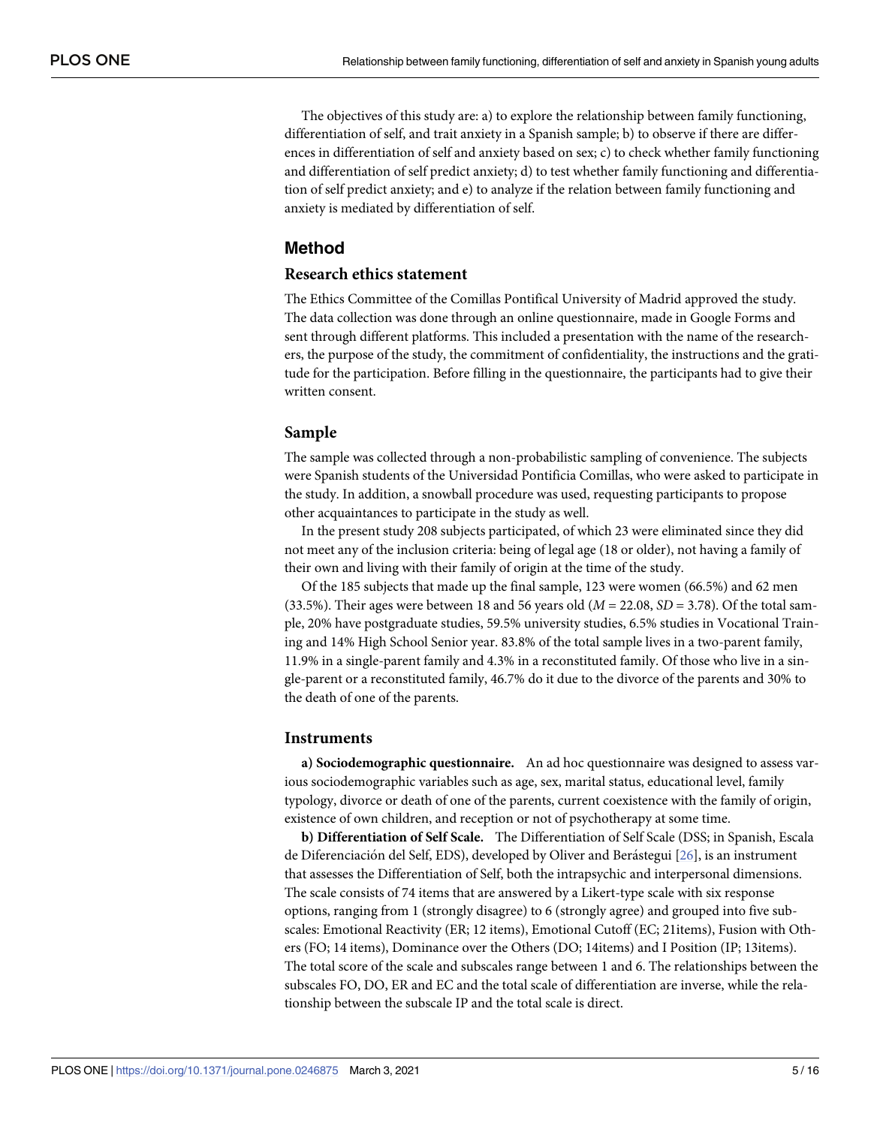The objectives of this study are: a) to explore the relationship between family functioning, differentiation of self, and trait anxiety in a Spanish sample; b) to observe if there are differences in differentiation of self and anxiety based on sex; c) to check whether family functioning and differentiation of self predict anxiety; d) to test whether family functioning and differentiation of self predict anxiety; and e) to analyze if the relation between family functioning and anxiety is mediated by differentiation of self.

# **Method**

#### **Research ethics statement**

The Ethics Committee of the Comillas Pontifical University of Madrid approved the study. The data collection was done through an online questionnaire, made in Google Forms and sent through different platforms. This included a presentation with the name of the researchers, the purpose of the study, the commitment of confidentiality, the instructions and the gratitude for the participation. Before filling in the questionnaire, the participants had to give their written consent.

## **Sample**

The sample was collected through a non-probabilistic sampling of convenience. The subjects were Spanish students of the Universidad Pontificia Comillas, who were asked to participate in the study. In addition, a snowball procedure was used, requesting participants to propose other acquaintances to participate in the study as well.

In the present study 208 subjects participated, of which 23 were eliminated since they did not meet any of the inclusion criteria: being of legal age (18 or older), not having a family of their own and living with their family of origin at the time of the study.

Of the 185 subjects that made up the final sample, 123 were women (66.5%) and 62 men (33.5%). Their ages were between 18 and 56 years old  $(M = 22.08, SD = 3.78)$ . Of the total sample, 20% have postgraduate studies, 59.5% university studies, 6.5% studies in Vocational Training and 14% High School Senior year. 83.8% of the total sample lives in a two-parent family, 11.9% in a single-parent family and 4.3% in a reconstituted family. Of those who live in a single-parent or a reconstituted family, 46.7% do it due to the divorce of the parents and 30% to the death of one of the parents.

#### **Instruments**

**a) Sociodemographic questionnaire.** An ad hoc questionnaire was designed to assess various sociodemographic variables such as age, sex, marital status, educational level, family typology, divorce or death of one of the parents, current coexistence with the family of origin, existence of own children, and reception or not of psychotherapy at some time.

**b) Differentiation of Self Scale.** The Differentiation of Self Scale (DSS; in Spanish, Escala de Diferenciación del Self, EDS), developed by Oliver and Berástegui [\[26\]](#page-13-0), is an instrument that assesses the Differentiation of Self, both the intrapsychic and interpersonal dimensions. The scale consists of 74 items that are answered by a Likert-type scale with six response options, ranging from 1 (strongly disagree) to 6 (strongly agree) and grouped into five subscales: Emotional Reactivity (ER; 12 items), Emotional Cutoff (EC; 21items), Fusion with Others (FO; 14 items), Dominance over the Others (DO; 14items) and I Position (IP; 13items). The total score of the scale and subscales range between 1 and 6. The relationships between the subscales FO, DO, ER and EC and the total scale of differentiation are inverse, while the relationship between the subscale IP and the total scale is direct.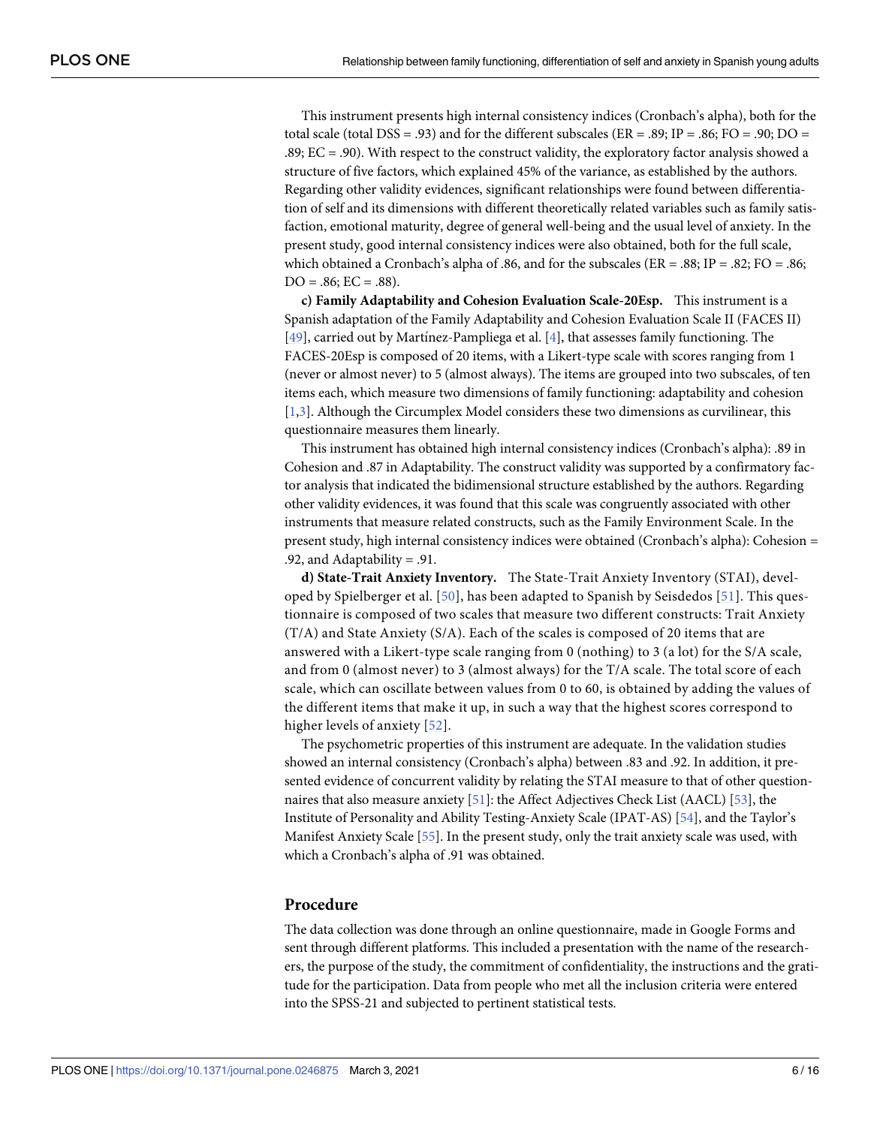<span id="page-5-0"></span>This instrument presents high internal consistency indices (Cronbach's alpha), both for the total scale (total DSS = .93) and for the different subscales ( $ER = .89$ ;  $IP = .86$ ;  $FO = .90$ ;  $DO =$ .89; EC = .90). With respect to the construct validity, the exploratory factor analysis showed a structure of five factors, which explained 45% of the variance, as established by the authors. Regarding other validity evidences, significant relationships were found between differentiation of self and its dimensions with different theoretically related variables such as family satisfaction, emotional maturity, degree of general well-being and the usual level of anxiety. In the present study, good internal consistency indices were also obtained, both for the full scale, which obtained a Cronbach's alpha of .86, and for the subscales ( $ER = .88$ ;  $IP = .82$ ;  $FO = .86$ ;  $DO = .86$ ;  $EC = .88$ ).

**c) Family Adaptability and Cohesion Evaluation Scale-20Esp.** This instrument is a Spanish adaptation of the Family Adaptability and Cohesion Evaluation Scale II (FACES II) [\[49\]](#page-14-0), carried out by Martinez-Pampliega et al. [\[4](#page-12-0)], that assesses family functioning. The FACES-20Esp is composed of 20 items, with a Likert-type scale with scores ranging from 1 (never or almost never) to 5 (almost always). The items are grouped into two subscales, of ten items each, which measure two dimensions of family functioning: adaptability and cohesion [\[1,3](#page-12-0)]. Although the Circumplex Model considers these two dimensions as curvilinear, this questionnaire measures them linearly.

This instrument has obtained high internal consistency indices (Cronbach's alpha): .89 in Cohesion and .87 in Adaptability. The construct validity was supported by a confirmatory factor analysis that indicated the bidimensional structure established by the authors. Regarding other validity evidences, it was found that this scale was congruently associated with other instruments that measure related constructs, such as the Family Environment Scale. In the present study, high internal consistency indices were obtained (Cronbach's alpha): Cohesion = .92, and Adaptability = .91.

**d) State-Trait Anxiety Inventory.** The State-Trait Anxiety Inventory (STAI), developed by Spielberger et al. [\[50](#page-14-0)], has been adapted to Spanish by Seisdedos [[51\]](#page-14-0). This questionnaire is composed of two scales that measure two different constructs: Trait Anxiety (T/A) and State Anxiety (S/A). Each of the scales is composed of 20 items that are answered with a Likert-type scale ranging from 0 (nothing) to 3 (a lot) for the S/A scale, and from 0 (almost never) to 3 (almost always) for the T/A scale. The total score of each scale, which can oscillate between values from 0 to 60, is obtained by adding the values of the different items that make it up, in such a way that the highest scores correspond to higher levels of anxiety [\[52](#page-15-0)].

The psychometric properties of this instrument are adequate. In the validation studies showed an internal consistency (Cronbach's alpha) between .83 and .92. In addition, it presented evidence of concurrent validity by relating the STAI measure to that of other questionnaires that also measure anxiety [\[51\]](#page-14-0): the Affect Adjectives Check List (AACL) [\[53\]](#page-15-0), the Institute of Personality and Ability Testing-Anxiety Scale (IPAT-AS) [\[54\]](#page-15-0), and the Taylor's Manifest Anxiety Scale [[55](#page-15-0)]. In the present study, only the trait anxiety scale was used, with which a Cronbach's alpha of .91 was obtained.

#### **Procedure**

The data collection was done through an online questionnaire, made in Google Forms and sent through different platforms. This included a presentation with the name of the researchers, the purpose of the study, the commitment of confidentiality, the instructions and the gratitude for the participation. Data from people who met all the inclusion criteria were entered into the SPSS-21 and subjected to pertinent statistical tests.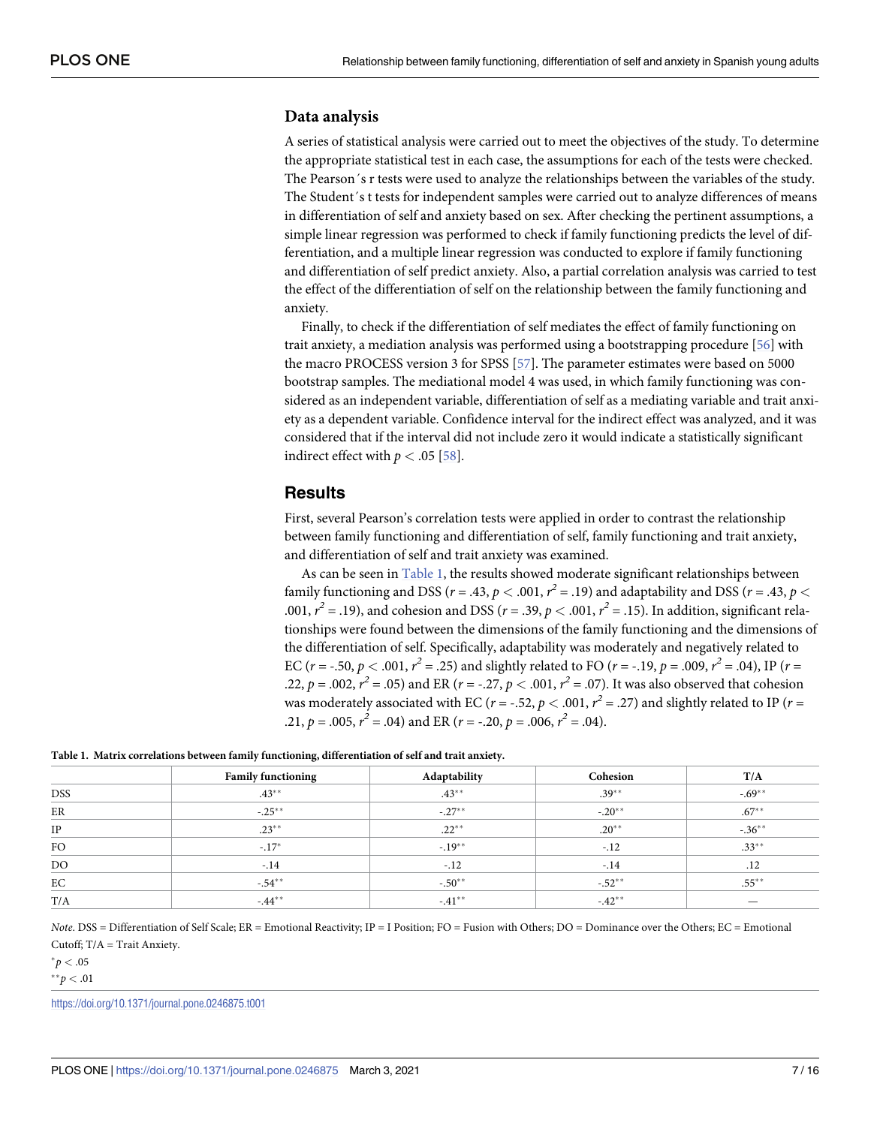#### <span id="page-6-0"></span>**Data analysis**

A series of statistical analysis were carried out to meet the objectives of the study. To determine the appropriate statistical test in each case, the assumptions for each of the tests were checked. The Pearson´s r tests were used to analyze the relationships between the variables of the study. The Student´s t tests for independent samples were carried out to analyze differences of means in differentiation of self and anxiety based on sex. After checking the pertinent assumptions, a simple linear regression was performed to check if family functioning predicts the level of differentiation, and a multiple linear regression was conducted to explore if family functioning and differentiation of self predict anxiety. Also, a partial correlation analysis was carried to test the effect of the differentiation of self on the relationship between the family functioning and anxiety.

Finally, to check if the differentiation of self mediates the effect of family functioning on trait anxiety, a mediation analysis was performed using a bootstrapping procedure [\[56\]](#page-15-0) with the macro PROCESS version 3 for SPSS [[57](#page-15-0)]. The parameter estimates were based on 5000 bootstrap samples. The mediational model 4 was used, in which family functioning was considered as an independent variable, differentiation of self as a mediating variable and trait anxiety as a dependent variable. Confidence interval for the indirect effect was analyzed, and it was considered that if the interval did not include zero it would indicate a statistically significant indirect effect with  $p < .05$  [\[58\]](#page-15-0).

# **Results**

First, several Pearson's correlation tests were applied in order to contrast the relationship between family functioning and differentiation of self, family functioning and trait anxiety, and differentiation of self and trait anxiety was examined.

As can be seen in Table 1, the results showed moderate significant relationships between family functioning and DSS ( $r$  = .43,  $p$  < .001,  $r^2$  = .19) and adaptability and DSS ( $r$  = .43,  $p$  < .001,  $r^2$  = .19), and cohesion and DSS ( $r$  = .39,  $p$  < .001,  $r^2$  = .15). In addition, significant relationships were found between the dimensions of the family functioning and the dimensions of the differentiation of self. Specifically, adaptability was moderately and negatively related to EC ( $r = -0.50$ ,  $p < 0.001$ ,  $r^2 = 0.25$ ) and slightly related to FO ( $r = -0.19$ ,  $p = 0.009$ ,  $r^2 = 0.04$ ), IP ( $r = 0.001$ .22,  $p = .002$ ,  $r^2 = .05$ ) and ER ( $r = -.27$ ,  $p < .001$ ,  $r^2 = .07$ ). It was also observed that cohesion was moderately associated with EC ( $r =$  -.52,  $p < .001$ ,  $r<sup>2</sup> = .27$ ) and slightly related to IP ( $r =$ .21,  $p = .005$ ,  $r^2 = .04$ ) and ER ( $r = -.20$ ,  $p = .006$ ,  $r^2 = .04$ ).

|  | Table 1. Matrix correlations between family functioning, differentiation of self and trait anxiety. |  |  |  |  |  |
|--|-----------------------------------------------------------------------------------------------------|--|--|--|--|--|
|--|-----------------------------------------------------------------------------------------------------|--|--|--|--|--|

|            | <b>Family functioning</b> | Adaptability | Cohesion | T/A       |
|------------|---------------------------|--------------|----------|-----------|
| <b>DSS</b> | $.43***$                  | $.43***$     | $.39**$  | $-.69**$  |
| ER         | $-.25***$                 | $-.27***$    | $-.20**$ | $.67***$  |
| IP         | $.23**$                   | $.22**$      | $.20**$  | $-.36***$ |
| FO         | $-.17*$                   | $-.19***$    | $-.12$   | $.33***$  |
| DO         | $-.14$                    | $-.12$       | $-.14$   | .12       |
| EC         | $-54**$                   | $-.50**$     | $-.52**$ | $.55***$  |
| T/A        | $-44***$                  | $-.41***$    | $-42**$  |           |

*Note*. DSS = Differentiation of Self Scale; ER = Emotional Reactivity; IP = I Position; FO = Fusion with Others; DO = Dominance over the Others; EC = Emotional Cutoff; T/A = Trait Anxiety.

 $^{*}p < .05$ 

 $*^*p < .01$ 

<https://doi.org/10.1371/journal.pone.0246875.t001>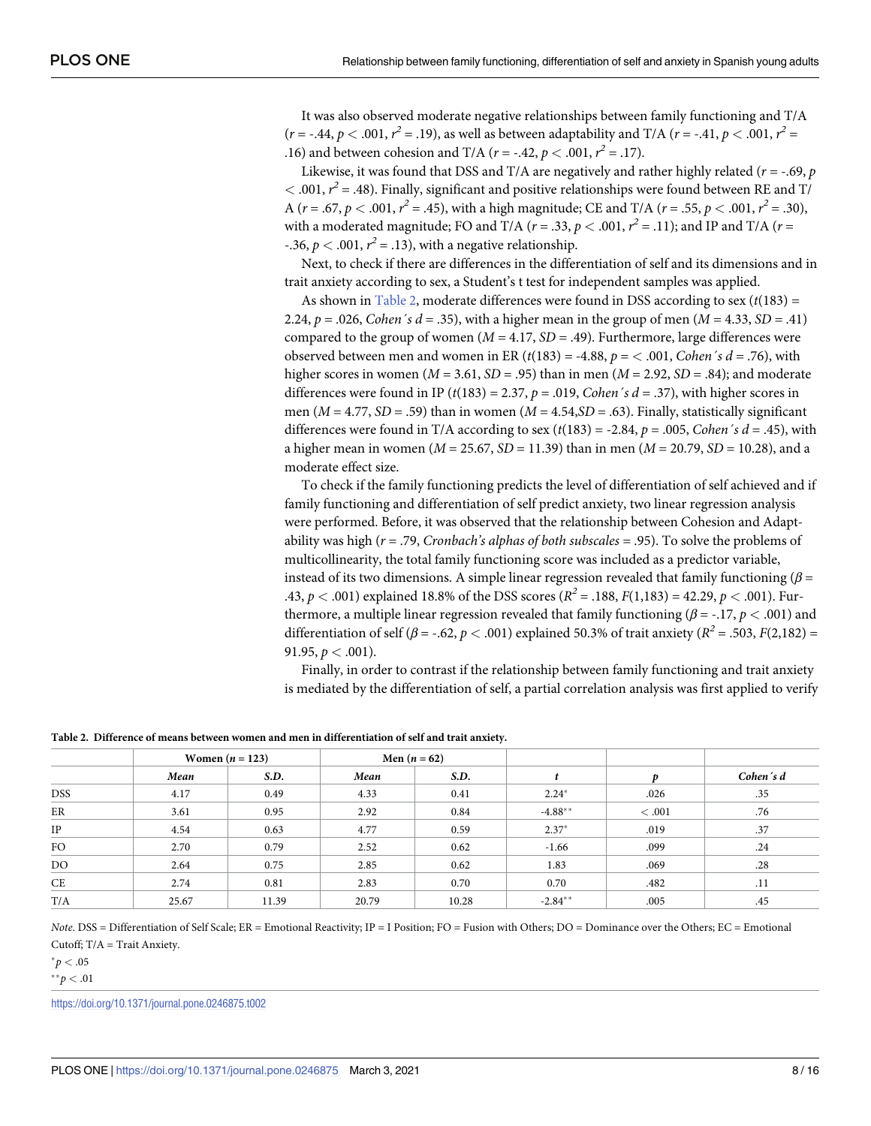It was also observed moderate negative relationships between family functioning and T/A ( $r$  = -.44,  $p$  < .001,  $r^2$  = .19), as well as between adaptability and T/A ( $r$  = -.41,  $p$  < .001,  $r^2$  = .16) and between cohesion and T/A ( $r = -.42$ ,  $p < .001$ ,  $r^2 = .17$ ).

Likewise, it was found that DSS and T/A are negatively and rather highly related (*r =* -.69, *p*  $<$  .001,  $r^2$  = .48). Finally, significant and positive relationships were found between RE and T/ A ( $r = .67$ ,  $p < .001$ ,  $r^2 = .45$ ), with a high magnitude; CE and T/A ( $r = .55$ ,  $p < .001$ ,  $r^2 = .30$ ), with a moderated magnitude; FO and T/A ( $r = .33$ ,  $p < .001$ ,  $r^2 = .11$ ); and IP and T/A ( $r =$ -.36,  $p < .001$ ,  $r^2 = .13$ ), with a negative relationship.

Next, to check if there are differences in the differentiation of self and its dimensions and in trait anxiety according to sex, a Student's t test for independent samples was applied.

As shown in Table 2, moderate differences were found in DSS according to sex (*t*(183) *=* 2.24,  $p = .026$ , *Cohen's*  $d = .35$ , with a higher mean in the group of men  $(M = 4.33, SD = .41)$ compared to the group of women  $(M = 4.17, SD = .49)$ . Furthermore, large differences were observed between men and women in ER ( $t(183) = -4.88$ ,  $p = < .001$ , *Cohen's*  $d = .76$ ), with higher scores in women (*M* = 3.61, *SD* = .95) than in men (*M* = 2.92, *SD* = .84); and moderate differences were found in IP ( $t(183) = 2.37$ ,  $p = .019$ , *Cohen's*  $d = .37$ ), with higher scores in men ( $M = 4.77$ ,  $SD = .59$ ) than in women ( $M = 4.54$ , $SD = .63$ ). Finally, statistically significant differences were found in T/A according to sex  $(t(183) = -2.84, p = .005, Cohen's d = .45)$ , with a higher mean in women (*M* = 25.67, *SD* = 11.39) than in men (*M* = 20.79, *SD* = 10.28), and a moderate effect size.

To check if the family functioning predicts the level of differentiation of self achieved and if family functioning and differentiation of self predict anxiety, two linear regression analysis were performed. Before, it was observed that the relationship between Cohesion and Adaptability was high (*r* = .79, *Cronbach's alphas of both subscales =* .95). To solve the problems of multicollinearity, the total family functioning score was included as a predictor variable, instead of its two dimensions. A simple linear regression revealed that family functioning (*β* = .43,  $p < .001$ ) explained 18.8% of the DSS scores ( $R^2 = .188$ ,  $F(1,183) = 42.29$ ,  $p < .001$ ). Furthermore, a multiple linear regression revealed that family functioning ( $\beta$  = -.17,  $p$  < .001) and differentiation of self (*β* = -.62, *p* < .001) explained 50.3% of trait anxiety ( $R^2$  = .503, *F*(2,182) = 91.95,  $p < .001$ ).

Finally, in order to contrast if the relationship between family functioning and trait anxiety is mediated by the differentiation of self, a partial correlation analysis was first applied to verify

**Table 2. Difference of means between women and men in differentiation of self and trait anxiety.**

|            |       | Women $(n = 123)$ |       | Men $(n = 62)$ |            |       |           |
|------------|-------|-------------------|-------|----------------|------------|-------|-----------|
|            | Mean  | S.D.              | Mean  | S.D.           |            |       | Cohen's d |
| <b>DSS</b> | 4.17  | 0.49              | 4.33  | 0.41           | $2.24*$    | .026  | .35       |
| ER         | 3.61  | 0.95              | 2.92  | 0.84           | $-4.88**$  | <.001 | .76       |
| $\rm IP$   | 4.54  | 0.63              | 4.77  | 0.59           | $2.37*$    | .019  | .37       |
| <b>FO</b>  | 2.70  | 0.79              | 2.52  | 0.62           | $-1.66$    | .099  | .24       |
| DO         | 2.64  | 0.75              | 2.85  | 0.62           | 1.83       | .069  | .28       |
| CE         | 2.74  | 0.81              | 2.83  | 0.70           | 0.70       | .482  | .11       |
| T/A        | 25.67 | 11.39             | 20.79 | 10.28          | $-2.84***$ | .005  | .45       |

*Note*. DSS = Differentiation of Self Scale; ER = Emotional Reactivity; IP = I Position; FO = Fusion with Others; DO = Dominance over the Others; EC = Emotional Cutoff; T/A = Trait Anxiety.

 $^{*}p < .05$ 

 $*^*p < .01$ 

<https://doi.org/10.1371/journal.pone.0246875.t002>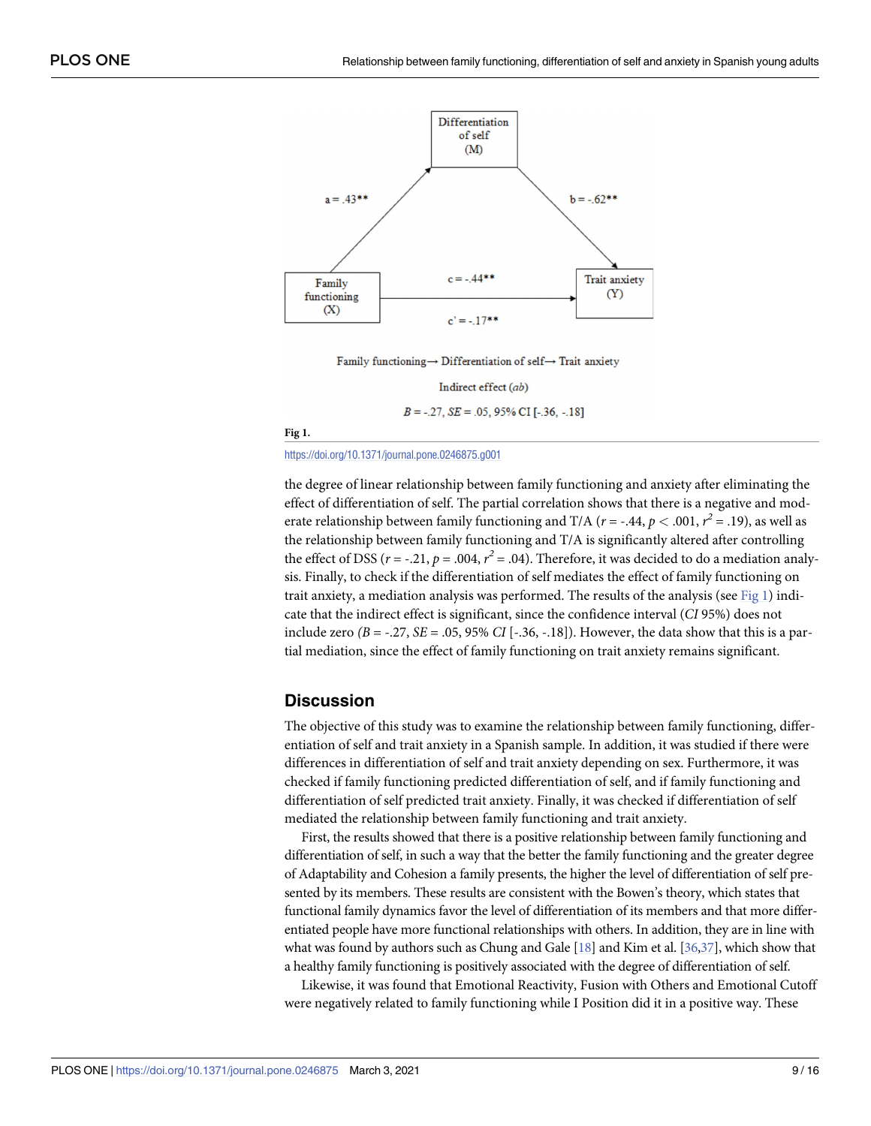

Family functioning  $\rightarrow$  Differentiation of self $\rightarrow$  Trait anxiety

Indirect effect (ab)

 $B = -.27$ ,  $SE = .05$ , 95% CI [-.36, -.18]

**Fig 1.**

<https://doi.org/10.1371/journal.pone.0246875.g001>

the degree of linear relationship between family functioning and anxiety after eliminating the effect of differentiation of self. The partial correlation shows that there is a negative and moderate relationship between family functioning and T/A ( $r$  = -.44,  $p$  < .001,  $r^2$  = .19), as well as the relationship between family functioning and T/A is significantly altered after controlling the effect of DSS ( $r = -.21$ ,  $p = .004$ ,  $r^2 = .04$ ). Therefore, it was decided to do a mediation analysis. Finally, to check if the differentiation of self mediates the effect of family functioning on trait anxiety, a mediation analysis was performed. The results of the analysis (see Fig 1) indicate that the indirect effect is significant, since the confidence interval (*CI* 95%) does not include zero  $(B = -.27, SE = .05, 95\% \ CI$  [-.36, -.18]). However, the data show that this is a partial mediation, since the effect of family functioning on trait anxiety remains significant.

# **Discussion**

The objective of this study was to examine the relationship between family functioning, differentiation of self and trait anxiety in a Spanish sample. In addition, it was studied if there were differences in differentiation of self and trait anxiety depending on sex. Furthermore, it was checked if family functioning predicted differentiation of self, and if family functioning and differentiation of self predicted trait anxiety. Finally, it was checked if differentiation of self mediated the relationship between family functioning and trait anxiety.

First, the results showed that there is a positive relationship between family functioning and differentiation of self, in such a way that the better the family functioning and the greater degree of Adaptability and Cohesion a family presents, the higher the level of differentiation of self presented by its members. These results are consistent with the Bowen's theory, which states that functional family dynamics favor the level of differentiation of its members and that more differentiated people have more functional relationships with others. In addition, they are in line with what was found by authors such as Chung and Gale [\[18\]](#page-13-0) and Kim et al. [\[36,37](#page-14-0)], which show that a healthy family functioning is positively associated with the degree of differentiation of self.

Likewise, it was found that Emotional Reactivity, Fusion with Others and Emotional Cutoff were negatively related to family functioning while I Position did it in a positive way. These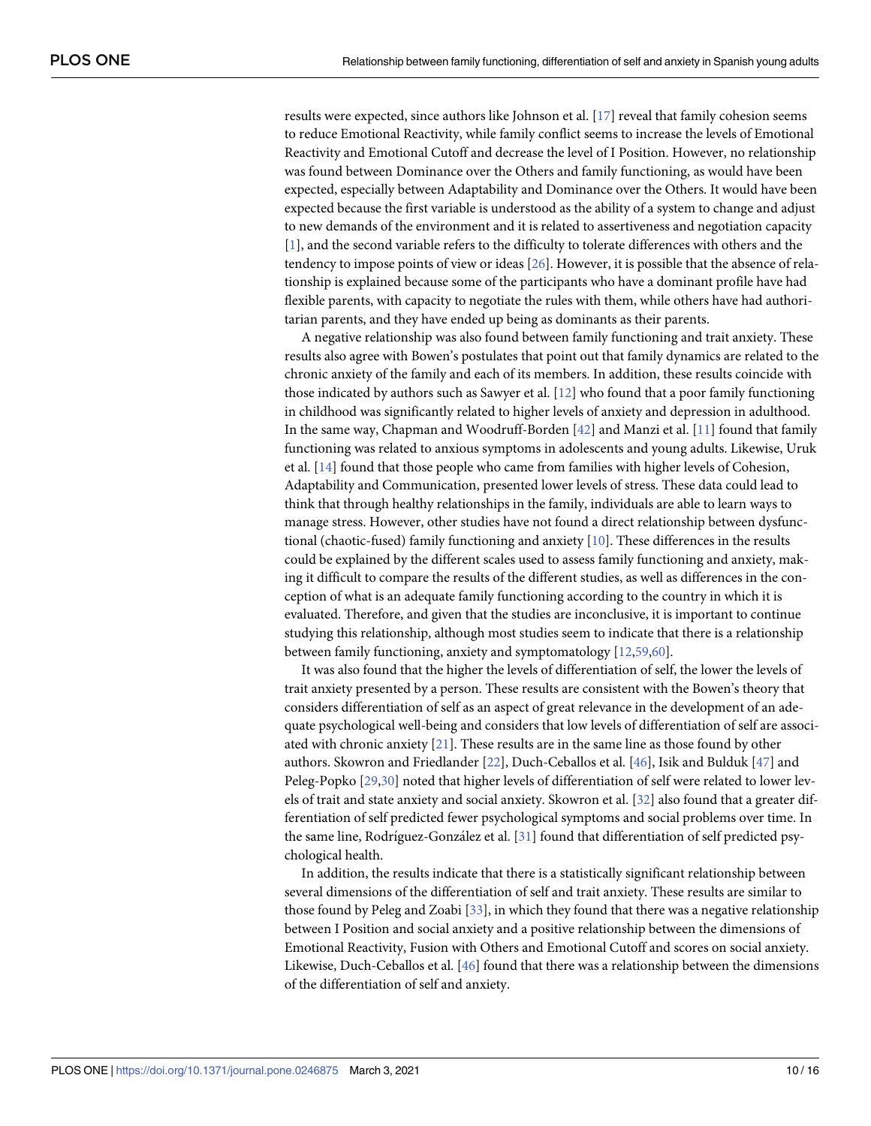<span id="page-9-0"></span>results were expected, since authors like Johnson et al. [[17](#page-13-0)] reveal that family cohesion seems to reduce Emotional Reactivity, while family conflict seems to increase the levels of Emotional Reactivity and Emotional Cutoff and decrease the level of I Position. However, no relationship was found between Dominance over the Others and family functioning, as would have been expected, especially between Adaptability and Dominance over the Others. It would have been expected because the first variable is understood as the ability of a system to change and adjust to new demands of the environment and it is related to assertiveness and negotiation capacity [\[1](#page-12-0)], and the second variable refers to the difficulty to tolerate differences with others and the tendency to impose points of view or ideas [[26](#page-13-0)]. However, it is possible that the absence of relationship is explained because some of the participants who have a dominant profile have had flexible parents, with capacity to negotiate the rules with them, while others have had authoritarian parents, and they have ended up being as dominants as their parents.

A negative relationship was also found between family functioning and trait anxiety. These results also agree with Bowen's postulates that point out that family dynamics are related to the chronic anxiety of the family and each of its members. In addition, these results coincide with those indicated by authors such as Sawyer et al. [\[12\]](#page-13-0) who found that a poor family functioning in childhood was significantly related to higher levels of anxiety and depression in adulthood. In the same way, Chapman and Woodruff-Borden [\[42\]](#page-14-0) and Manzi et al. [\[11\]](#page-13-0) found that family functioning was related to anxious symptoms in adolescents and young adults. Likewise, Uruk et al. [\[14\]](#page-13-0) found that those people who came from families with higher levels of Cohesion, Adaptability and Communication, presented lower levels of stress. These data could lead to think that through healthy relationships in the family, individuals are able to learn ways to manage stress. However, other studies have not found a direct relationship between dysfunctional (chaotic-fused) family functioning and anxiety [\[10\]](#page-13-0). These differences in the results could be explained by the different scales used to assess family functioning and anxiety, making it difficult to compare the results of the different studies, as well as differences in the conception of what is an adequate family functioning according to the country in which it is evaluated. Therefore, and given that the studies are inconclusive, it is important to continue studying this relationship, although most studies seem to indicate that there is a relationship between family functioning, anxiety and symptomatology [[12](#page-13-0),[59,60\]](#page-15-0).

It was also found that the higher the levels of differentiation of self, the lower the levels of trait anxiety presented by a person. These results are consistent with the Bowen's theory that considers differentiation of self as an aspect of great relevance in the development of an adequate psychological well-being and considers that low levels of differentiation of self are associated with chronic anxiety [\[21\]](#page-13-0). These results are in the same line as those found by other authors. Skowron and Friedlander [\[22\]](#page-13-0), Duch-Ceballos et al. [[46](#page-14-0)], Isik and Bulduk [[47](#page-14-0)] and Peleg-Popko [\[29,30](#page-14-0)] noted that higher levels of differentiation of self were related to lower levels of trait and state anxiety and social anxiety. Skowron et al. [[32](#page-14-0)] also found that a greater differentiation of self predicted fewer psychological symptoms and social problems over time. In the same line, Rodríguez-González et al. [[31](#page-14-0)] found that differentiation of self predicted psychological health.

In addition, the results indicate that there is a statistically significant relationship between several dimensions of the differentiation of self and trait anxiety. These results are similar to those found by Peleg and Zoabi [\[33\]](#page-14-0), in which they found that there was a negative relationship between I Position and social anxiety and a positive relationship between the dimensions of Emotional Reactivity, Fusion with Others and Emotional Cutoff and scores on social anxiety. Likewise, Duch-Ceballos et al. [[46](#page-14-0)] found that there was a relationship between the dimensions of the differentiation of self and anxiety.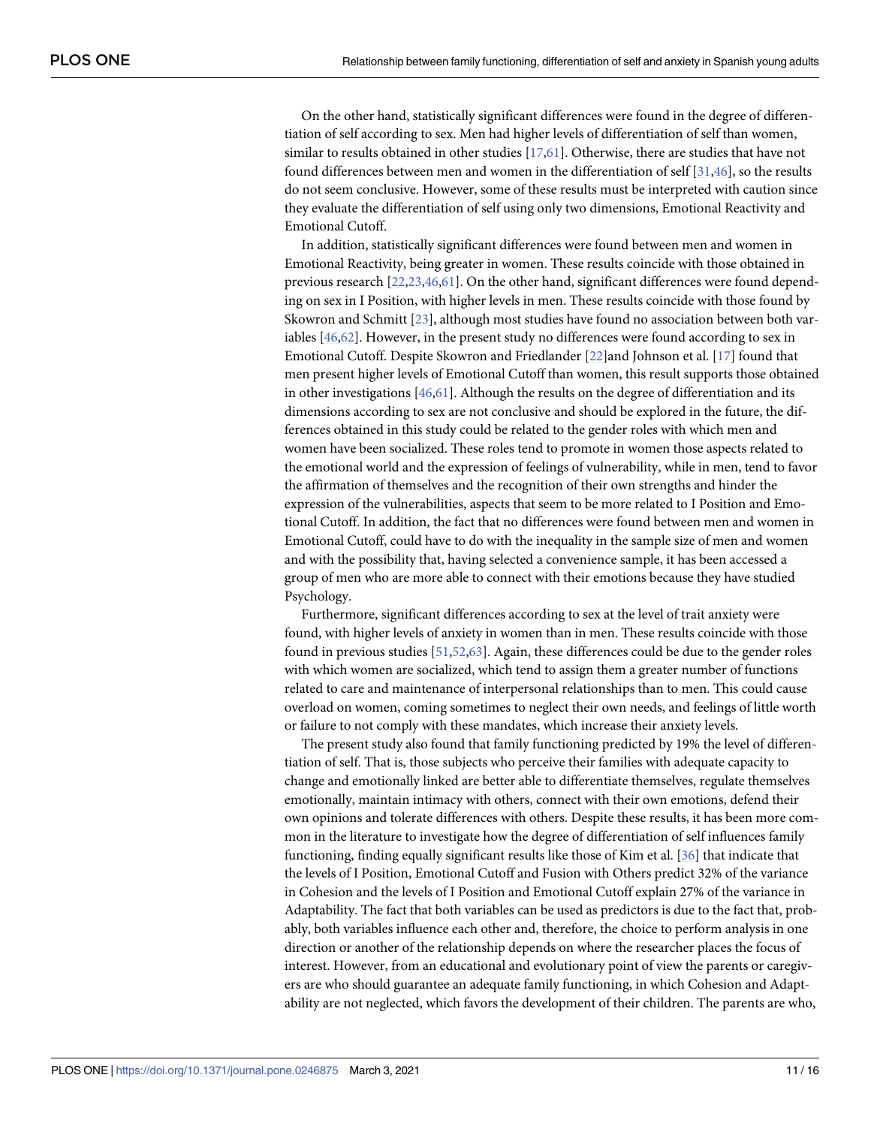<span id="page-10-0"></span>On the other hand, statistically significant differences were found in the degree of differentiation of self according to sex. Men had higher levels of differentiation of self than women, similar to results obtained in other studies [[17](#page-13-0)[,61\]](#page-15-0). Otherwise, there are studies that have not found differences between men and women in the differentiation of self [\[31,46\]](#page-14-0), so the results do not seem conclusive. However, some of these results must be interpreted with caution since they evaluate the differentiation of self using only two dimensions, Emotional Reactivity and Emotional Cutoff.

In addition, statistically significant differences were found between men and women in Emotional Reactivity, being greater in women. These results coincide with those obtained in previous research [\[22,23,](#page-13-0)[46](#page-14-0),[61](#page-15-0)]. On the other hand, significant differences were found depending on sex in I Position, with higher levels in men. These results coincide with those found by Skowron and Schmitt [[23](#page-13-0)], although most studies have found no association between both variables [[46](#page-14-0),[62](#page-15-0)]. However, in the present study no differences were found according to sex in Emotional Cutoff. Despite Skowron and Friedlander [\[22](#page-13-0)]and Johnson et al. [\[17\]](#page-13-0) found that men present higher levels of Emotional Cutoff than women, this result supports those obtained in other investigations [\[46](#page-14-0)[,61\]](#page-15-0). Although the results on the degree of differentiation and its dimensions according to sex are not conclusive and should be explored in the future, the differences obtained in this study could be related to the gender roles with which men and women have been socialized. These roles tend to promote in women those aspects related to the emotional world and the expression of feelings of vulnerability, while in men, tend to favor the affirmation of themselves and the recognition of their own strengths and hinder the expression of the vulnerabilities, aspects that seem to be more related to I Position and Emotional Cutoff. In addition, the fact that no differences were found between men and women in Emotional Cutoff, could have to do with the inequality in the sample size of men and women and with the possibility that, having selected a convenience sample, it has been accessed a group of men who are more able to connect with their emotions because they have studied Psychology.

Furthermore, significant differences according to sex at the level of trait anxiety were found, with higher levels of anxiety in women than in men. These results coincide with those found in previous studies [\[51,](#page-14-0)[52,63](#page-15-0)]. Again, these differences could be due to the gender roles with which women are socialized, which tend to assign them a greater number of functions related to care and maintenance of interpersonal relationships than to men. This could cause overload on women, coming sometimes to neglect their own needs, and feelings of little worth or failure to not comply with these mandates, which increase their anxiety levels.

The present study also found that family functioning predicted by 19% the level of differentiation of self. That is, those subjects who perceive their families with adequate capacity to change and emotionally linked are better able to differentiate themselves, regulate themselves emotionally, maintain intimacy with others, connect with their own emotions, defend their own opinions and tolerate differences with others. Despite these results, it has been more common in the literature to investigate how the degree of differentiation of self influences family functioning, finding equally significant results like those of Kim et al. [\[36\]](#page-14-0) that indicate that the levels of I Position, Emotional Cutoff and Fusion with Others predict 32% of the variance in Cohesion and the levels of I Position and Emotional Cutoff explain 27% of the variance in Adaptability. The fact that both variables can be used as predictors is due to the fact that, probably, both variables influence each other and, therefore, the choice to perform analysis in one direction or another of the relationship depends on where the researcher places the focus of interest. However, from an educational and evolutionary point of view the parents or caregivers are who should guarantee an adequate family functioning, in which Cohesion and Adaptability are not neglected, which favors the development of their children. The parents are who,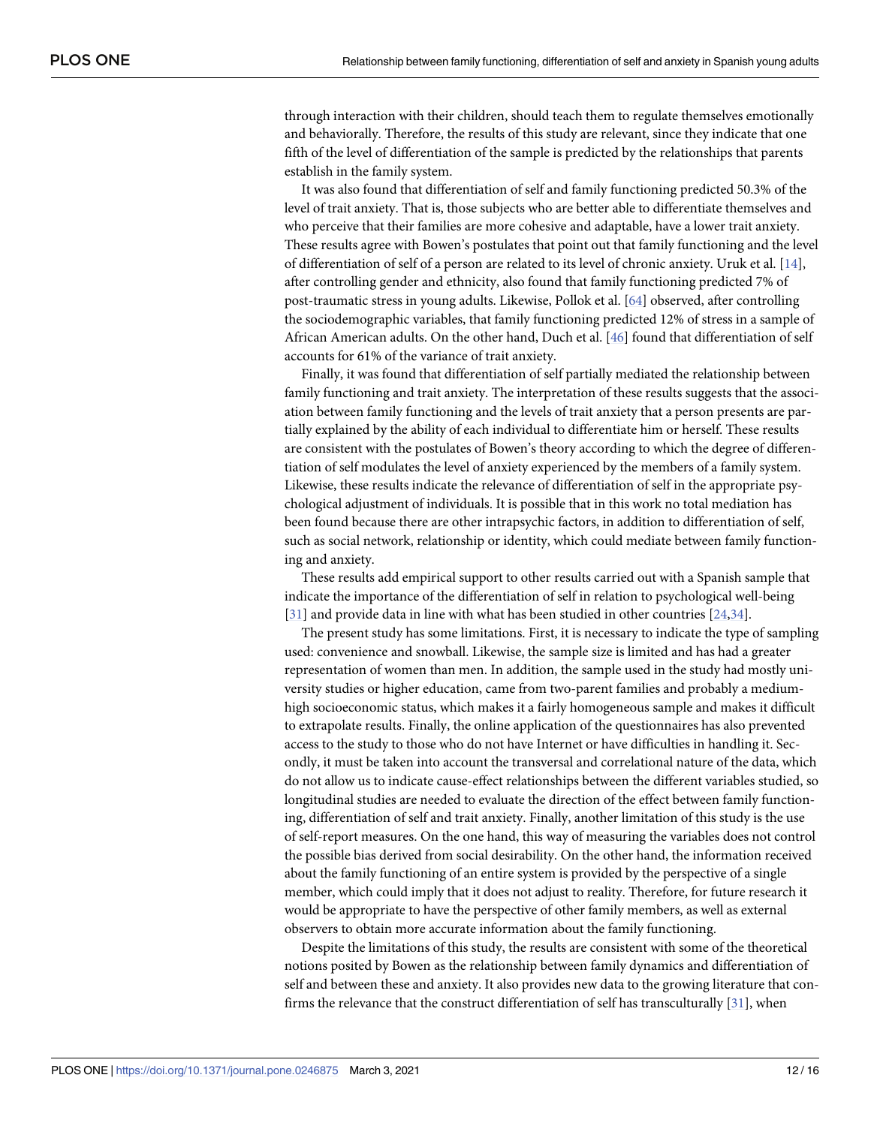<span id="page-11-0"></span>through interaction with their children, should teach them to regulate themselves emotionally and behaviorally. Therefore, the results of this study are relevant, since they indicate that one fifth of the level of differentiation of the sample is predicted by the relationships that parents establish in the family system.

It was also found that differentiation of self and family functioning predicted 50.3% of the level of trait anxiety. That is, those subjects who are better able to differentiate themselves and who perceive that their families are more cohesive and adaptable, have a lower trait anxiety. These results agree with Bowen's postulates that point out that family functioning and the level of differentiation of self of a person are related to its level of chronic anxiety. Uruk et al. [\[14\]](#page-13-0), after controlling gender and ethnicity, also found that family functioning predicted 7% of post-traumatic stress in young adults. Likewise, Pollok et al. [\[64\]](#page-15-0) observed, after controlling the sociodemographic variables, that family functioning predicted 12% of stress in a sample of African American adults. On the other hand, Duch et al. [\[46\]](#page-14-0) found that differentiation of self accounts for 61% of the variance of trait anxiety.

Finally, it was found that differentiation of self partially mediated the relationship between family functioning and trait anxiety. The interpretation of these results suggests that the association between family functioning and the levels of trait anxiety that a person presents are partially explained by the ability of each individual to differentiate him or herself. These results are consistent with the postulates of Bowen's theory according to which the degree of differentiation of self modulates the level of anxiety experienced by the members of a family system. Likewise, these results indicate the relevance of differentiation of self in the appropriate psychological adjustment of individuals. It is possible that in this work no total mediation has been found because there are other intrapsychic factors, in addition to differentiation of self, such as social network, relationship or identity, which could mediate between family functioning and anxiety.

These results add empirical support to other results carried out with a Spanish sample that indicate the importance of the differentiation of self in relation to psychological well-being [\[31\]](#page-14-0) and provide data in line with what has been studied in other countries [[24](#page-13-0),[34](#page-14-0)].

The present study has some limitations. First, it is necessary to indicate the type of sampling used: convenience and snowball. Likewise, the sample size is limited and has had a greater representation of women than men. In addition, the sample used in the study had mostly university studies or higher education, came from two-parent families and probably a mediumhigh socioeconomic status, which makes it a fairly homogeneous sample and makes it difficult to extrapolate results. Finally, the online application of the questionnaires has also prevented access to the study to those who do not have Internet or have difficulties in handling it. Secondly, it must be taken into account the transversal and correlational nature of the data, which do not allow us to indicate cause-effect relationships between the different variables studied, so longitudinal studies are needed to evaluate the direction of the effect between family functioning, differentiation of self and trait anxiety. Finally, another limitation of this study is the use of self-report measures. On the one hand, this way of measuring the variables does not control the possible bias derived from social desirability. On the other hand, the information received about the family functioning of an entire system is provided by the perspective of a single member, which could imply that it does not adjust to reality. Therefore, for future research it would be appropriate to have the perspective of other family members, as well as external observers to obtain more accurate information about the family functioning.

Despite the limitations of this study, the results are consistent with some of the theoretical notions posited by Bowen as the relationship between family dynamics and differentiation of self and between these and anxiety. It also provides new data to the growing literature that confirms the relevance that the construct differentiation of self has transculturally [\[31\]](#page-14-0), when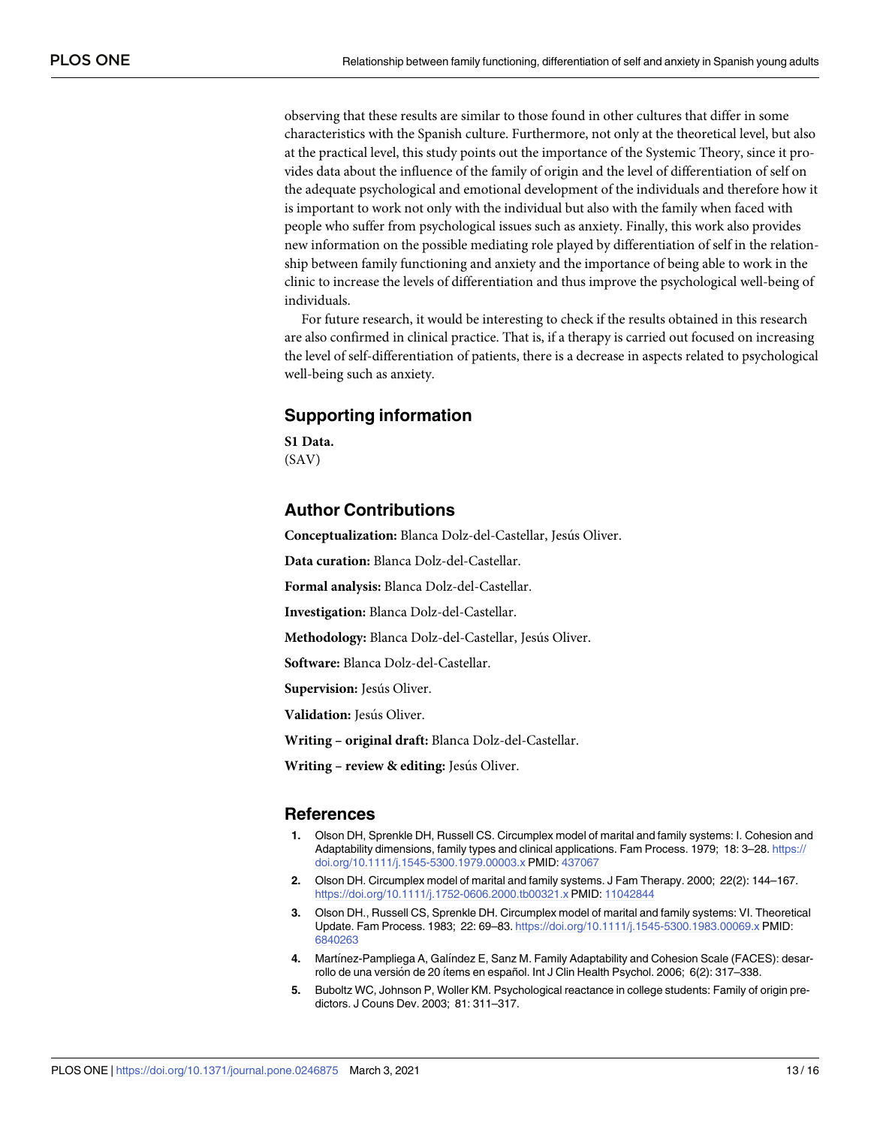<span id="page-12-0"></span>observing that these results are similar to those found in other cultures that differ in some characteristics with the Spanish culture. Furthermore, not only at the theoretical level, but also at the practical level, this study points out the importance of the Systemic Theory, since it provides data about the influence of the family of origin and the level of differentiation of self on the adequate psychological and emotional development of the individuals and therefore how it is important to work not only with the individual but also with the family when faced with people who suffer from psychological issues such as anxiety. Finally, this work also provides new information on the possible mediating role played by differentiation of self in the relationship between family functioning and anxiety and the importance of being able to work in the clinic to increase the levels of differentiation and thus improve the psychological well-being of individuals.

For future research, it would be interesting to check if the results obtained in this research are also confirmed in clinical practice. That is, if a therapy is carried out focused on increasing the level of self-differentiation of patients, there is a decrease in aspects related to psychological well-being such as anxiety.

# **Supporting information**

**S1 [Data](http://www.plosone.org/article/fetchSingleRepresentation.action?uri=info:doi/10.1371/journal.pone.0246875.s001).** (SAV)

# **Author Contributions**

**Conceptualization:** Blanca Dolz-del-Castellar, Jesús Oliver.

**Data curation:** Blanca Dolz-del-Castellar.

**Formal analysis:** Blanca Dolz-del-Castellar.

**Investigation:** Blanca Dolz-del-Castellar.

**Methodology:** Blanca Dolz-del-Castellar, Jesus Oliver.

**Software:** Blanca Dolz-del-Castellar.

Supervision: Jesús Oliver.

**Validation:** Jesús Oliver.

**Writing – original draft:** Blanca Dolz-del-Castellar.

**Writing – review & editing:** Jesu´s Oliver.

#### **References**

- **[1](#page-1-0).** Olson DH, Sprenkle DH, Russell CS. Circumplex model of marital and family systems: I. Cohesion and Adaptability dimensions, family types and clinical applications. Fam Process. 1979; 18: 3–28. [https://](https://doi.org/10.1111/j.1545-5300.1979.00003.x) [doi.org/10.1111/j.1545-5300.1979.00003.x](https://doi.org/10.1111/j.1545-5300.1979.00003.x) PMID: [437067](http://www.ncbi.nlm.nih.gov/pubmed/437067)
- **[2](#page-1-0).** Olson DH. Circumplex model of marital and family systems. J Fam Therapy. 2000; 22(2): 144–167. <https://doi.org/10.1111/j.1752-0606.2000.tb00321.x> PMID: [11042844](http://www.ncbi.nlm.nih.gov/pubmed/11042844)
- **[3](#page-1-0).** Olson DH., Russell CS, Sprenkle DH. Circumplex model of marital and family systems: VI. Theoretical Update. Fam Process. 1983; 22: 69–83. <https://doi.org/10.1111/j.1545-5300.1983.00069.x> PMID: [6840263](http://www.ncbi.nlm.nih.gov/pubmed/6840263)
- **[4](#page-1-0).** Martínez-Pampliega A, Galíndez E, Sanz M. Family Adaptability and Cohesion Scale (FACES): desarrollo de una versión de 20 ítems en español. Int J Clin Health Psychol. 2006; 6(2): 317–338.
- **[5](#page-1-0).** Buboltz WC, Johnson P, Woller KM. Psychological reactance in college students: Family of origin predictors. J Couns Dev. 2003; 81: 311–317.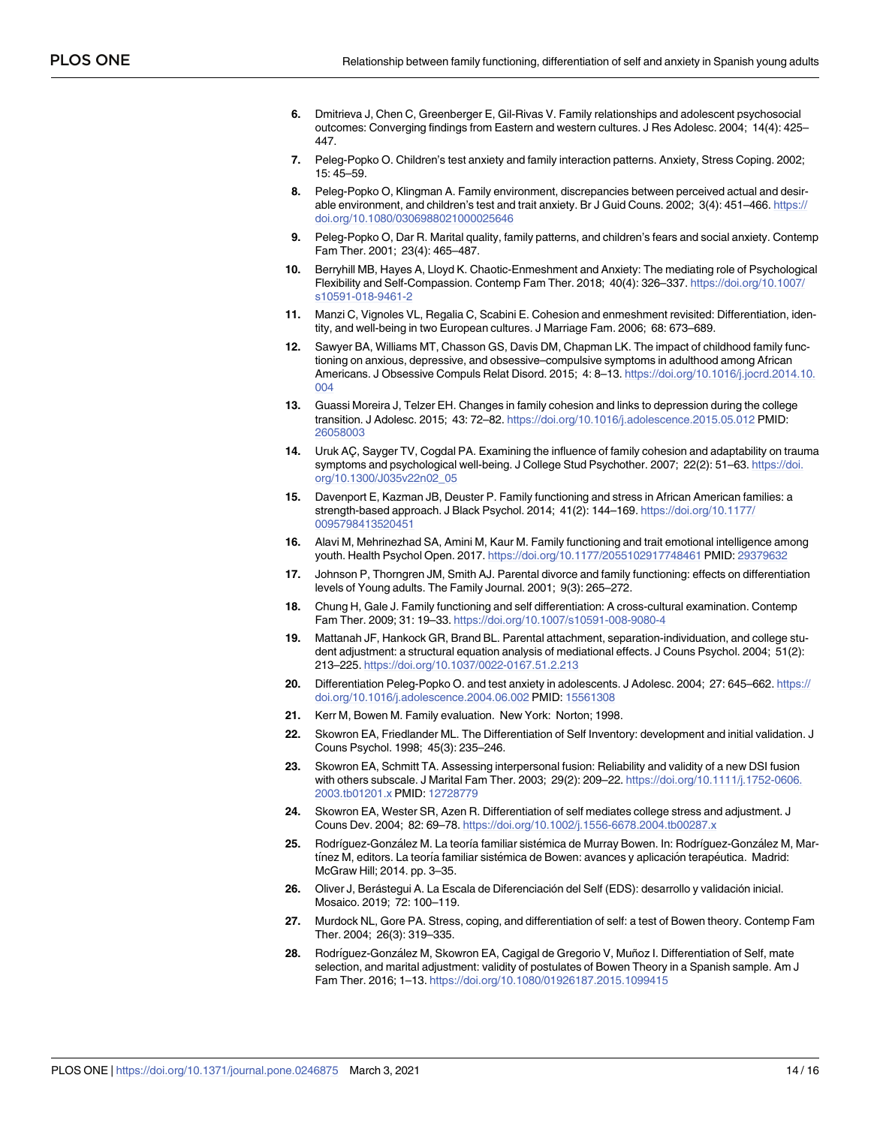- <span id="page-13-0"></span>**[6](#page-1-0).** Dmitrieva J, Chen C, Greenberger E, Gil-Rivas V. Family relationships and adolescent psychosocial outcomes: Converging findings from Eastern and western cultures. J Res Adolesc. 2004; 14(4): 425– 447.
- **[7](#page-1-0).** Peleg-Popko O. Children's test anxiety and family interaction patterns. Anxiety, Stress Coping. 2002; 15: 45–59.
- **[8](#page-1-0).** Peleg-Popko O, Klingman A. Family environment, discrepancies between perceived actual and desirable environment, and children's test and trait anxiety. Br J Guid Couns. 2002; 3(4): 451–466. [https://](https://doi.org/10.1080%3Citalic%3E/%3C/italic%3E0306988021000025646) [doi.org/10.1080/0306988021000025646](https://doi.org/10.1080%3Citalic%3E/%3C/italic%3E0306988021000025646)
- **[9](#page-1-0).** Peleg-Popko O, Dar R. Marital quality, family patterns, and children's fears and social anxiety. Contemp Fam Ther. 2001; 23(4): 465–487.
- **[10](#page-1-0).** Berryhill MB, Hayes A, Lloyd K. Chaotic-Enmeshment and Anxiety: The mediating role of Psychological Flexibility and Self-Compassion. Contemp Fam Ther. 2018; 40(4): 326–337. [https://doi.org/10.1007/](https://doi.org/10.1007/s10591-018-9461-2) [s10591-018-9461-2](https://doi.org/10.1007/s10591-018-9461-2)
- **[11](#page-1-0).** Manzi C, Vignoles VL, Regalia C, Scabini E. Cohesion and enmeshment revisited: Differentiation, identity, and well-being in two European cultures. J Marriage Fam. 2006; 68: 673–689.
- **[12](#page-1-0).** Sawyer BA, Williams MT, Chasson GS, Davis DM, Chapman LK. The impact of childhood family functioning on anxious, depressive, and obsessive–compulsive symptoms in adulthood among African Americans. J Obsessive Compuls Relat Disord. 2015; 4: 8–13. [https://doi.org/10.1016/j.jocrd.2014.10.](https://doi.org/10.1016/j.jocrd.2014.10.004) [004](https://doi.org/10.1016/j.jocrd.2014.10.004)
- **[13](#page-1-0).** Guassi Moreira J, Telzer EH. Changes in family cohesion and links to depression during the college transition. J Adolesc. 2015; 43: 72–82. <https://doi.org/10.1016/j.adolescence.2015.05.012> PMID: [26058003](http://www.ncbi.nlm.nih.gov/pubmed/26058003)
- **[14](#page-1-0).** Uruk AC¸ , Sayger TV, Cogdal PA. Examining the influence of family cohesion and adaptability on trauma symptoms and psychological well-being. J College Stud Psychother. 2007; 22(2): 51–63. [https://doi.](https://doi.org/10.1300/J035v22n02_05) [org/10.1300/J035v22n02\\_05](https://doi.org/10.1300/J035v22n02_05)
- **[15](#page-1-0).** Davenport E, Kazman JB, Deuster P. Family functioning and stress in African American families: a strength-based approach. J Black Psychol. 2014; 41(2): 144–169. [https://doi.org/10.1177/](https://doi.org/10.1177/0095798413520451) [0095798413520451](https://doi.org/10.1177/0095798413520451)
- **[16](#page-1-0).** Alavi M, Mehrinezhad SA, Amini M, Kaur M. Family functioning and trait emotional intelligence among youth. Health Psychol Open. 2017. <https://doi.org/10.1177/2055102917748461> PMID: [29379632](http://www.ncbi.nlm.nih.gov/pubmed/29379632)
- **[17](#page-1-0).** Johnson P, Thorngren JM, Smith AJ. Parental divorce and family functioning: effects on differentiation levels of Young adults. The Family Journal. 2001; 9(3): 265–272.
- **[18](#page-1-0).** Chung H, Gale J. Family functioning and self differentiation: A cross-cultural examination. Contemp Fam Ther. 2009; 31: 19–33. <https://doi.org/10.1007/s10591-008-9080-4>
- **[19](#page-1-0).** Mattanah JF, Hankock GR, Brand BL. Parental attachment, separation-individuation, and college student adjustment: a structural equation analysis of mediational effects. J Couns Psychol. 2004; 51(2): 213–225. <https://doi.org/10.1037/0022-0167.51.2.213>
- **[20](#page-1-0).** Differentiation Peleg-Popko O. and test anxiety in adolescents. J Adolesc. 2004; 27: 645–662. [https://](https://doi.org/10.1016/j.adolescence.2004.06.002) [doi.org/10.1016/j.adolescence.2004.06.002](https://doi.org/10.1016/j.adolescence.2004.06.002) PMID: [15561308](http://www.ncbi.nlm.nih.gov/pubmed/15561308)
- **[21](#page-2-0).** Kerr M, Bowen M. Family evaluation. New York: Norton; 1998.
- **[22](#page-2-0).** Skowron EA, Friedlander ML. The Differentiation of Self Inventory: development and initial validation. J Couns Psychol. 1998; 45(3): 235–246.
- **[23](#page-2-0).** Skowron EA, Schmitt TA. Assessing interpersonal fusion: Reliability and validity of a new DSI fusion with others subscale. J Marital Fam Ther. 2003; 29(2): 209–22. [https://doi.org/10.1111/j.1752-0606.](https://doi.org/10.1111/j.1752-0606.2003.tb01201.x) [2003.tb01201.x](https://doi.org/10.1111/j.1752-0606.2003.tb01201.x) PMID: [12728779](http://www.ncbi.nlm.nih.gov/pubmed/12728779)
- **[24](#page-2-0).** Skowron EA, Wester SR, Azen R. Differentiation of self mediates college stress and adjustment. J Couns Dev. 2004; 82: 69–78. <https://doi.org/10.1002/j.1556-6678.2004.tb00287.x>
- [25](#page-2-0). Rodríguez-González M. La teoría familiar sistémica de Murray Bowen. In: Rodríguez-González M, Martínez M, editors. La teoría familiar sistémica de Bowen: avances y aplicación terapéutica. Madrid: McGraw Hill; 2014. pp. 3–35.
- [26](#page-2-0). Oliver J, Berástegui A. La Escala de Diferenciación del Self (EDS): desarrollo y validación inicial. Mosaico. 2019; 72: 100–119.
- **[27](#page-2-0).** Murdock NL, Gore PA. Stress, coping, and differentiation of self: a test of Bowen theory. Contemp Fam Ther. 2004; 26(3): 319–335.
- [28](#page-2-0). Rodríguez-González M, Skowron EA, Cagigal de Gregorio V, Muñoz I. Differentiation of Self, mate selection, and marital adjustment: validity of postulates of Bowen Theory in a Spanish sample. Am J Fam Ther. 2016; 1–13. <https://doi.org/10.1080/01926187.2015.1099415>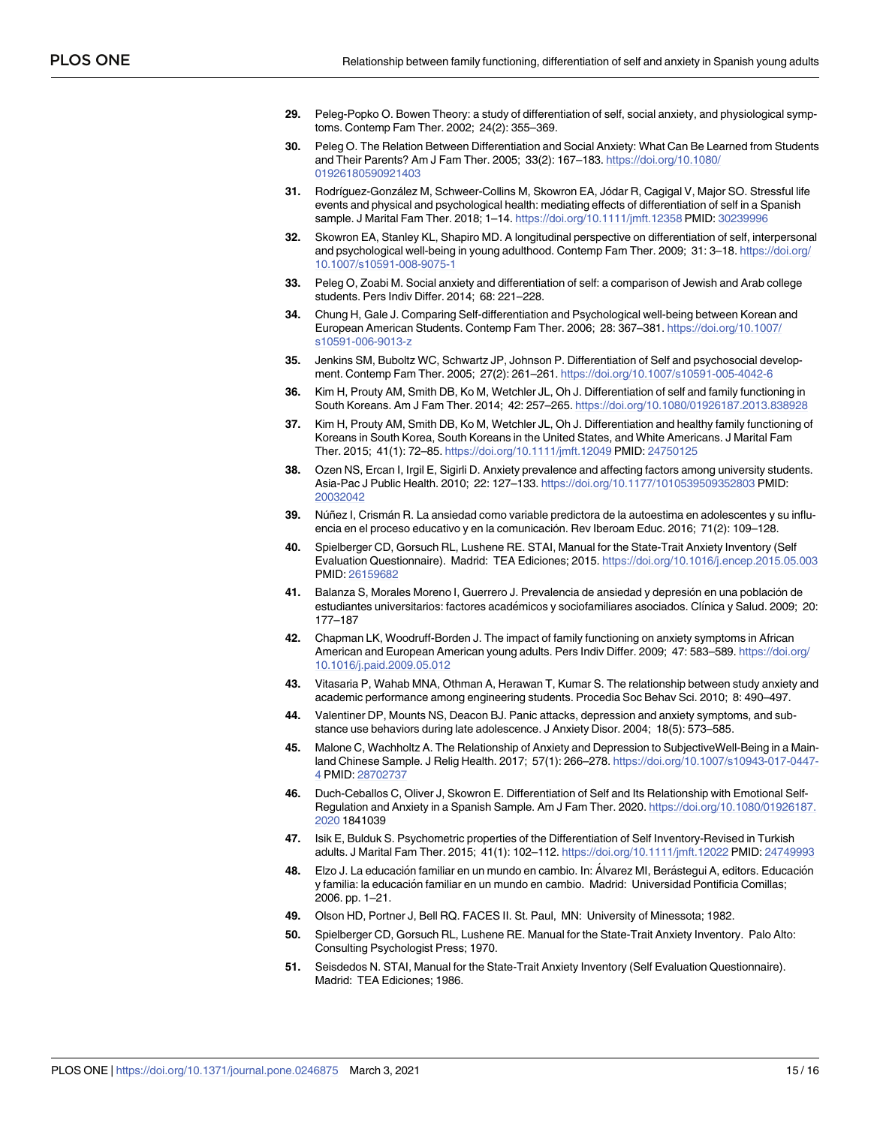- <span id="page-14-0"></span>**[29](#page-2-0).** Peleg-Popko O. Bowen Theory: a study of differentiation of self, social anxiety, and physiological symptoms. Contemp Fam Ther. 2002; 24(2): 355–369.
- **[30](#page-2-0).** Peleg O. The Relation Between Differentiation and Social Anxiety: What Can Be Learned from Students and Their Parents? Am J Fam Ther. 2005; 33(2): 167–183. [https://doi.org/10.1080/](https://doi.org/10.1080/01926180590921403) [01926180590921403](https://doi.org/10.1080/01926180590921403)
- **[31](#page-2-0).** Rodríguez-González M, Schweer-Collins M, Skowron EA, Jódar R, Cagigal V, Major SO. Stressful life events and physical and psychological health: mediating effects of differentiation of self in a Spanish sample. J Marital Fam Ther. 2018; 1–14. <https://doi.org/10.1111/jmft.12358> PMID: [30239996](http://www.ncbi.nlm.nih.gov/pubmed/30239996)
- **[32](#page-3-0).** Skowron EA, Stanley KL, Shapiro MD. A longitudinal perspective on differentiation of self, interpersonal and psychological well-being in young adulthood. Contemp Fam Ther. 2009; 31: 3–18. [https://doi.org/](https://doi.org/10.1007/s10591-008-9075-1) [10.1007/s10591-008-9075-1](https://doi.org/10.1007/s10591-008-9075-1)
- **[33](#page-3-0).** Peleg O, Zoabi M. Social anxiety and differentiation of self: a comparison of Jewish and Arab college students. Pers Indiv Differ. 2014; 68: 221–228.
- **[34](#page-3-0).** Chung H, Gale J. Comparing Self-differentiation and Psychological well-being between Korean and European American Students. Contemp Fam Ther. 2006; 28: 367–381. [https://doi.org/10.1007/](https://doi.org/10.1007/s10591-006-9013-z) [s10591-006-9013-z](https://doi.org/10.1007/s10591-006-9013-z)
- **[35](#page-3-0).** Jenkins SM, Buboltz WC, Schwartz JP, Johnson P. Differentiation of Self and psychosocial development. Contemp Fam Ther. 2005; 27(2): 261–261. <https://doi.org/10.1007/s10591-005-4042-6>
- **[36](#page-3-0).** Kim H, Prouty AM, Smith DB, Ko M, Wetchler JL, Oh J. Differentiation of self and family functioning in South Koreans. Am J Fam Ther. 2014; 42: 257–265. <https://doi.org/10.1080/01926187.2013.838928>
- **[37](#page-3-0).** Kim H, Prouty AM, Smith DB, Ko M, Wetchler JL, Oh J. Differentiation and healthy family functioning of Koreans in South Korea, South Koreans in the United States, and White Americans. J Marital Fam Ther. 2015; 41(1): 72–85. <https://doi.org/10.1111/jmft.12049> PMID: [24750125](http://www.ncbi.nlm.nih.gov/pubmed/24750125)
- **[38](#page-3-0).** Ozen NS, Ercan I, Irgil E, Sigirli D. Anxiety prevalence and affecting factors among university students. Asia-Pac J Public Health. 2010; 22: 127–133. <https://doi.org/10.1177/1010539509352803> PMID: [20032042](http://www.ncbi.nlm.nih.gov/pubmed/20032042)
- **[39](#page-3-0).** Nu´ñez I, Crisma´n R. La ansiedad como variable predictora de la autoestima en adolescentes y su influencia en el proceso educativo y en la comunicación. Rev Iberoam Educ. 2016; 71(2): 109-128.
- **[40](#page-3-0).** Spielberger CD, Gorsuch RL, Lushene RE. STAI, Manual for the State-Trait Anxiety Inventory (Self Evaluation Questionnaire). Madrid: TEA Ediciones; 2015. <https://doi.org/10.1016/j.encep.2015.05.003> PMID: [26159682](http://www.ncbi.nlm.nih.gov/pubmed/26159682)
- **[41](#page-3-0).** Balanza S, Morales Moreno I, Guerrero J. Prevalencia de ansiedad y depresión en una población de estudiantes universitarios: factores académicos y sociofamiliares asociados. Clínica y Salud. 2009; 20: 177–187
- **[42](#page-3-0).** Chapman LK, Woodruff-Borden J. The impact of family functioning on anxiety symptoms in African American and European American young adults. Pers Indiv Differ. 2009; 47: 583–589. [https://doi.org/](https://doi.org/10.1016/j.paid.2009.05.012) [10.1016/j.paid.2009.05.012](https://doi.org/10.1016/j.paid.2009.05.012)
- **[43](#page-3-0).** Vitasaria P, Wahab MNA, Othman A, Herawan T, Kumar S. The relationship between study anxiety and academic performance among engineering students. Procedia Soc Behav Sci. 2010; 8: 490–497.
- **[44](#page-3-0).** Valentiner DP, Mounts NS, Deacon BJ. Panic attacks, depression and anxiety symptoms, and substance use behaviors during late adolescence. J Anxiety Disor. 2004; 18(5): 573–585.
- **[45](#page-3-0).** Malone C, Wachholtz A. The Relationship of Anxiety and Depression to SubjectiveWell-Being in a Mainland Chinese Sample. J Relig Health. 2017; 57(1): 266–278. [https://doi.org/10.1007/s10943-017-0447-](https://doi.org/10.1007/s10943-017-0447-4) [4](https://doi.org/10.1007/s10943-017-0447-4) PMID: [28702737](http://www.ncbi.nlm.nih.gov/pubmed/28702737)
- **[46](#page-3-0).** Duch-Ceballos C, Oliver J, Skowron E. Differentiation of Self and Its Relationship with Emotional Self-Regulation and Anxiety in a Spanish Sample. Am J Fam Ther. 2020. [https://doi.org/10.1080/01926187.](https://doi.org/10.1080/01926187.2020) [2020](https://doi.org/10.1080/01926187.2020) 1841039
- **[47](#page-3-0).** Isik E, Bulduk S. Psychometric properties of the Differentiation of Self Inventory-Revised in Turkish adults. J Marital Fam Ther. 2015; 41(1): 102–112. <https://doi.org/10.1111/jmft.12022> PMID: [24749993](http://www.ncbi.nlm.nih.gov/pubmed/24749993)
- **[48](#page-3-0).** Elzo J. La educación familiar en un mundo en cambio. In: Álvarez MI, Berástegui A, editors. Educación y familia: la educación familiar en un mundo en cambio. Madrid: Universidad Pontificia Comillas; 2006. pp. 1–21.
- **[49](#page-5-0).** Olson HD, Portner J, Bell RQ. FACES II. St. Paul, MN: University of Minessota; 1982.
- **[50](#page-5-0).** Spielberger CD, Gorsuch RL, Lushene RE. Manual for the State-Trait Anxiety Inventory. Palo Alto: Consulting Psychologist Press; 1970.
- **[51](#page-5-0).** Seisdedos N. STAI, Manual for the State-Trait Anxiety Inventory (Self Evaluation Questionnaire). Madrid: TEA Ediciones; 1986.